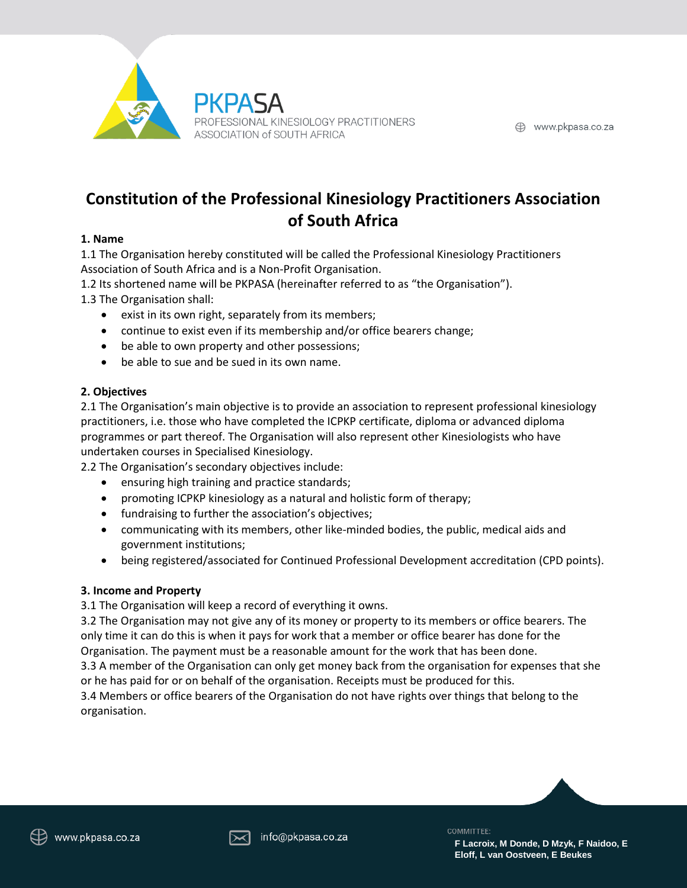

# **Constitution of the Professional Kinesiology Practitioners Association of South Africa**

#### **1. Name**

1.1 The Organisation hereby constituted will be called the Professional Kinesiology Practitioners Association of South Africa and is a Non-Profit Organisation.

1.2 Its shortened name will be PKPASA (hereinafter referred to as "the Organisation").

1.3 The Organisation shall:

- exist in its own right, separately from its members;
- continue to exist even if its membership and/or office bearers change;
- be able to own property and other possessions;
- be able to sue and be sued in its own name.

#### **2. Objectives**

2.1 The Organisation's main objective is to provide an association to represent professional kinesiology practitioners, i.e. those who have completed the ICPKP certificate, diploma or advanced diploma programmes or part thereof. The Organisation will also represent other Kinesiologists who have undertaken courses in Specialised Kinesiology.

2.2 The Organisation's secondary objectives include:

- ensuring high training and practice standards;
- promoting ICPKP kinesiology as a natural and holistic form of therapy;
- fundraising to further the association's objectives;
- communicating with its members, other like-minded bodies, the public, medical aids and government institutions;
- being registered/associated for Continued Professional Development accreditation (CPD points).

# **3. Income and Property**

3.1 The Organisation will keep a record of everything it owns.

3.2 The Organisation may not give any of its money or property to its members or office bearers. The only time it can do this is when it pays for work that a member or office bearer has done for the Organisation. The payment must be a reasonable amount for the work that has been done.

3.3 A member of the Organisation can only get money back from the organisation for expenses that she or he has paid for or on behalf of the organisation. Receipts must be produced for this. 3.4 Members or office bearers of the Organisation do not have rights over things that belong to the organisation.



**F Lacroix, M Donde, D Mzyk, F Naidoo, E Eloff, L van Oostveen, E Beukes**

COMMITTEE: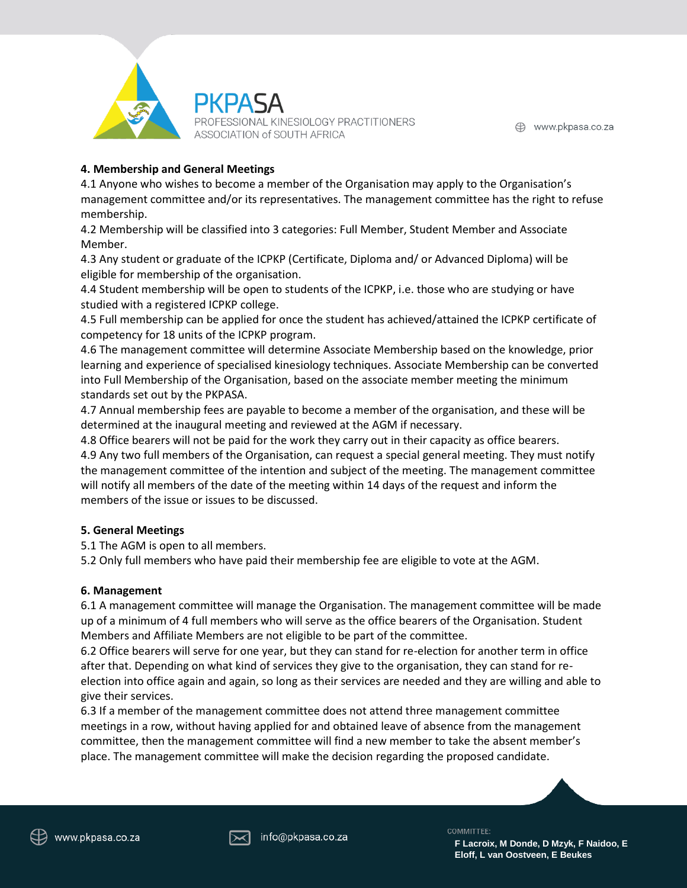

# **4. Membership and General Meetings**

4.1 Anyone who wishes to become a member of the Organisation may apply to the Organisation's management committee and/or its representatives. The management committee has the right to refuse membership.

4.2 Membership will be classified into 3 categories: Full Member, Student Member and Associate Member.

4.3 Any student or graduate of the ICPKP (Certificate, Diploma and/ or Advanced Diploma) will be eligible for membership of the organisation.

4.4 Student membership will be open to students of the ICPKP, i.e. those who are studying or have studied with a registered ICPKP college.

4.5 Full membership can be applied for once the student has achieved/attained the ICPKP certificate of competency for 18 units of the ICPKP program.

4.6 The management committee will determine Associate Membership based on the knowledge, prior learning and experience of specialised kinesiology techniques. Associate Membership can be converted into Full Membership of the Organisation, based on the associate member meeting the minimum standards set out by the PKPASA.

4.7 Annual membership fees are payable to become a member of the organisation, and these will be determined at the inaugural meeting and reviewed at the AGM if necessary.

4.8 Office bearers will not be paid for the work they carry out in their capacity as office bearers. 4.9 Any two full members of the Organisation, can request a special general meeting. They must notify the management committee of the intention and subject of the meeting. The management committee will notify all members of the date of the meeting within 14 days of the request and inform the members of the issue or issues to be discussed.

# **5. General Meetings**

5.1 The AGM is open to all members.

5.2 Only full members who have paid their membership fee are eligible to vote at the AGM.

# **6. Management**

6.1 A management committee will manage the Organisation. The management committee will be made up of a minimum of 4 full members who will serve as the office bearers of the Organisation. Student Members and Affiliate Members are not eligible to be part of the committee.

6.2 Office bearers will serve for one year, but they can stand for re-election for another term in office after that. Depending on what kind of services they give to the organisation, they can stand for reelection into office again and again, so long as their services are needed and they are willing and able to give their services.

6.3 If a member of the management committee does not attend three management committee meetings in a row, without having applied for and obtained leave of absence from the management committee, then the management committee will find a new member to take the absent member's place. The management committee will make the decision regarding the proposed candidate.



COMMITTEE:

**F Lacroix, M Donde, D Mzyk, F Naidoo, E Eloff, L van Oostveen, E Beukes**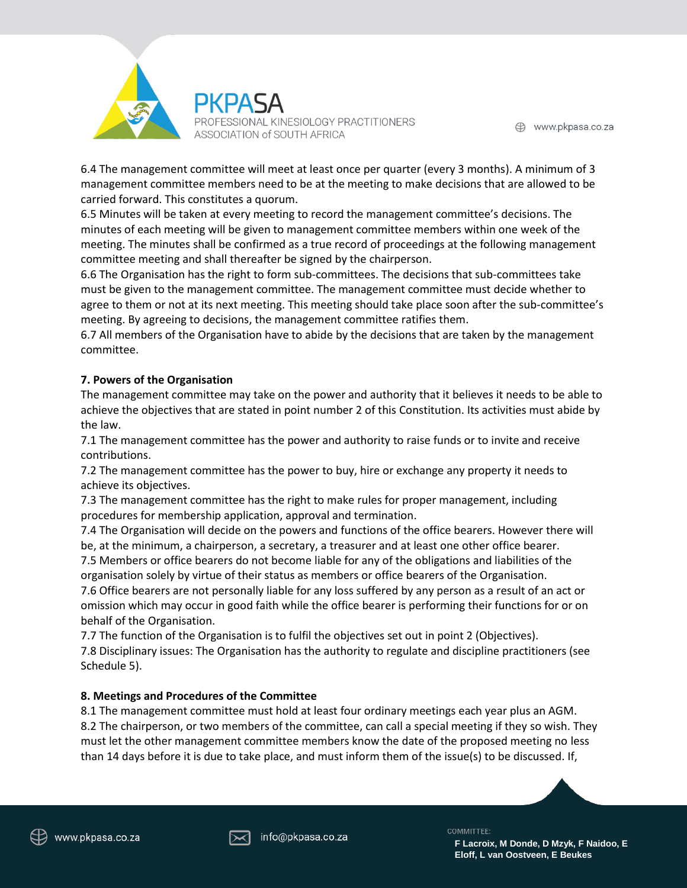

6.4 The management committee will meet at least once per quarter (every 3 months). A minimum of 3 management committee members need to be at the meeting to make decisions that are allowed to be carried forward. This constitutes a quorum.

6.5 Minutes will be taken at every meeting to record the management committee's decisions. The minutes of each meeting will be given to management committee members within one week of the meeting. The minutes shall be confirmed as a true record of proceedings at the following management committee meeting and shall thereafter be signed by the chairperson.

6.6 The Organisation has the right to form sub-committees. The decisions that sub-committees take must be given to the management committee. The management committee must decide whether to agree to them or not at its next meeting. This meeting should take place soon after the sub-committee's meeting. By agreeing to decisions, the management committee ratifies them.

6.7 All members of the Organisation have to abide by the decisions that are taken by the management committee.

# **7. Powers of the Organisation**

The management committee may take on the power and authority that it believes it needs to be able to achieve the objectives that are stated in point number 2 of this Constitution. Its activities must abide by the law.

7.1 The management committee has the power and authority to raise funds or to invite and receive contributions.

7.2 The management committee has the power to buy, hire or exchange any property it needs to achieve its objectives.

7.3 The management committee has the right to make rules for proper management, including procedures for membership application, approval and termination.

7.4 The Organisation will decide on the powers and functions of the office bearers. However there will be, at the minimum, a chairperson, a secretary, a treasurer and at least one other office bearer.

7.5 Members or office bearers do not become liable for any of the obligations and liabilities of the organisation solely by virtue of their status as members or office bearers of the Organisation.

7.6 Office bearers are not personally liable for any loss suffered by any person as a result of an act or omission which may occur in good faith while the office bearer is performing their functions for or on behalf of the Organisation.

7.7 The function of the Organisation is to fulfil the objectives set out in point 2 (Objectives). 7.8 Disciplinary issues: The Organisation has the authority to regulate and discipline practitioners (see Schedule 5).

# **8. Meetings and Procedures of the Committee**

8.1 The management committee must hold at least four ordinary meetings each year plus an AGM. 8.2 The chairperson, or two members of the committee, can call a special meeting if they so wish. They must let the other management committee members know the date of the proposed meeting no less than 14 days before it is due to take place, and must inform them of the issue(s) to be discussed. If,



COMMITTEE:

**F Lacroix, M Donde, D Mzyk, F Naidoo, E Eloff, L van Oostveen, E Beukes**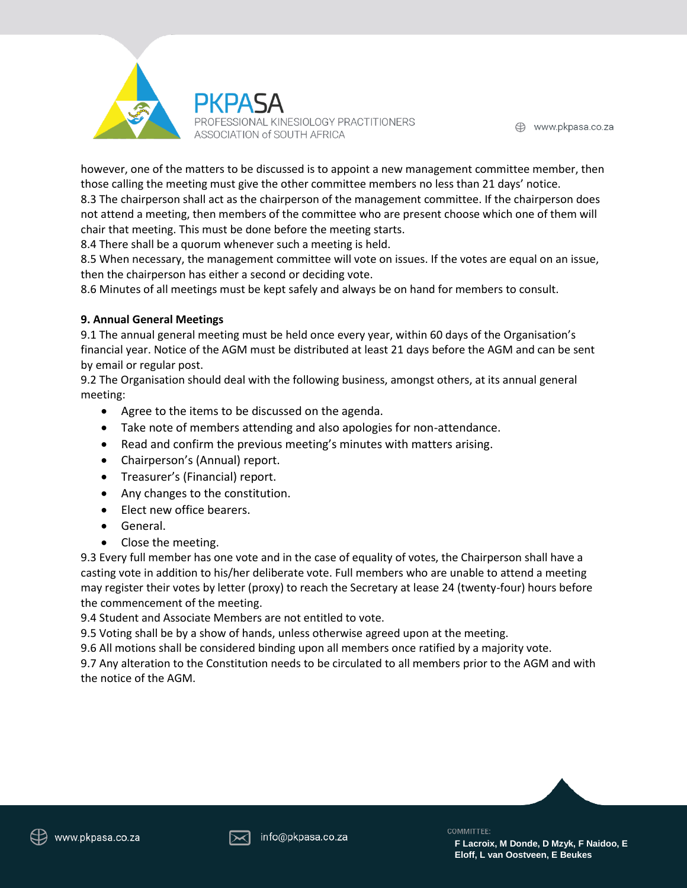

however, one of the matters to be discussed is to appoint a new management committee member, then those calling the meeting must give the other committee members no less than 21 days' notice. 8.3 The chairperson shall act as the chairperson of the management committee. If the chairperson does not attend a meeting, then members of the committee who are present choose which one of them will chair that meeting. This must be done before the meeting starts.

8.4 There shall be a quorum whenever such a meeting is held.

8.5 When necessary, the management committee will vote on issues. If the votes are equal on an issue, then the chairperson has either a second or deciding vote.

8.6 Minutes of all meetings must be kept safely and always be on hand for members to consult.

#### **9. Annual General Meetings**

9.1 The annual general meeting must be held once every year, within 60 days of the Organisation's financial year. Notice of the AGM must be distributed at least 21 days before the AGM and can be sent by email or regular post.

9.2 The Organisation should deal with the following business, amongst others, at its annual general meeting:

- Agree to the items to be discussed on the agenda.
- Take note of members attending and also apologies for non-attendance.
- Read and confirm the previous meeting's minutes with matters arising.
- Chairperson's (Annual) report.
- Treasurer's (Financial) report.
- Any changes to the constitution.
- Elect new office bearers.
- General.
- Close the meeting.

9.3 Every full member has one vote and in the case of equality of votes, the Chairperson shall have a casting vote in addition to his/her deliberate vote. Full members who are unable to attend a meeting may register their votes by letter (proxy) to reach the Secretary at lease 24 (twenty-four) hours before the commencement of the meeting.

9.4 Student and Associate Members are not entitled to vote.

9.5 Voting shall be by a show of hands, unless otherwise agreed upon at the meeting.

9.6 All motions shall be considered binding upon all members once ratified by a majority vote.

9.7 Any alteration to the Constitution needs to be circulated to all members prior to the AGM and with the notice of the AGM.



COMMITTEE: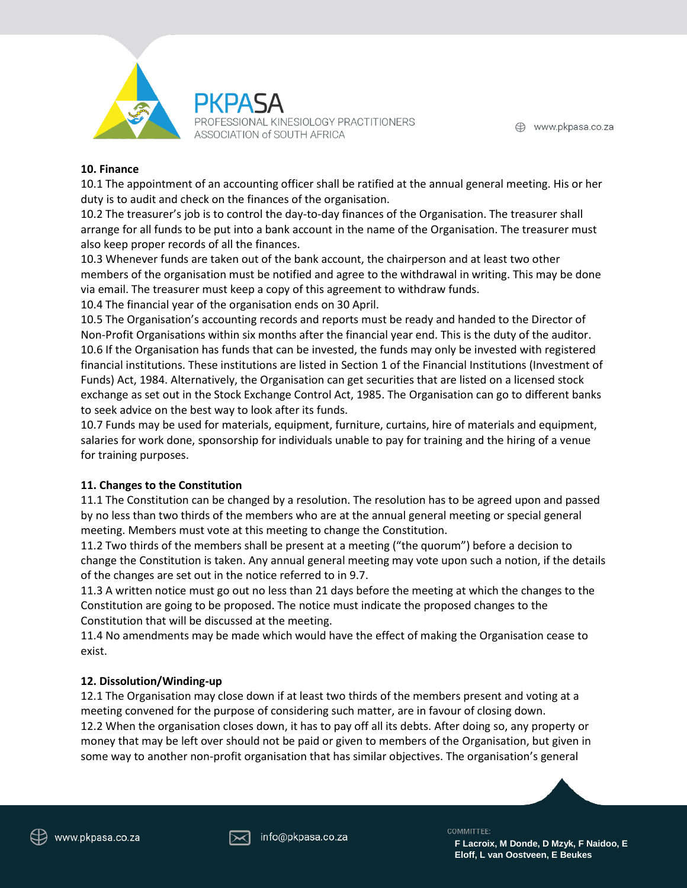

#### **10. Finance**

10.1 The appointment of an accounting officer shall be ratified at the annual general meeting. His or her duty is to audit and check on the finances of the organisation.

10.2 The treasurer's job is to control the day-to-day finances of the Organisation. The treasurer shall arrange for all funds to be put into a bank account in the name of the Organisation. The treasurer must also keep proper records of all the finances.

10.3 Whenever funds are taken out of the bank account, the chairperson and at least two other members of the organisation must be notified and agree to the withdrawal in writing. This may be done via email. The treasurer must keep a copy of this agreement to withdraw funds.

10.4 The financial year of the organisation ends on 30 April.

10.5 The Organisation's accounting records and reports must be ready and handed to the Director of Non-Profit Organisations within six months after the financial year end. This is the duty of the auditor. 10.6 If the Organisation has funds that can be invested, the funds may only be invested with registered financial institutions. These institutions are listed in Section 1 of the Financial Institutions (Investment of Funds) Act, 1984. Alternatively, the Organisation can get securities that are listed on a licensed stock exchange as set out in the Stock Exchange Control Act, 1985. The Organisation can go to different banks to seek advice on the best way to look after its funds.

10.7 Funds may be used for materials, equipment, furniture, curtains, hire of materials and equipment, salaries for work done, sponsorship for individuals unable to pay for training and the hiring of a venue for training purposes.

# **11. Changes to the Constitution**

11.1 The Constitution can be changed by a resolution. The resolution has to be agreed upon and passed by no less than two thirds of the members who are at the annual general meeting or special general meeting. Members must vote at this meeting to change the Constitution.

11.2 Two thirds of the members shall be present at a meeting ("the quorum") before a decision to change the Constitution is taken. Any annual general meeting may vote upon such a notion, if the details of the changes are set out in the notice referred to in 9.7.

11.3 A written notice must go out no less than 21 days before the meeting at which the changes to the Constitution are going to be proposed. The notice must indicate the proposed changes to the Constitution that will be discussed at the meeting.

11.4 No amendments may be made which would have the effect of making the Organisation cease to exist.

# **12. Dissolution/Winding-up**

12.1 The Organisation may close down if at least two thirds of the members present and voting at a meeting convened for the purpose of considering such matter, are in favour of closing down. 12.2 When the organisation closes down, it has to pay off all its debts. After doing so, any property or money that may be left over should not be paid or given to members of the Organisation, but given in some way to another non-profit organisation that has similar objectives. The organisation's general



COMMITTEE:

**F Lacroix, M Donde, D Mzyk, F Naidoo, E Eloff, L van Oostveen, E Beukes**